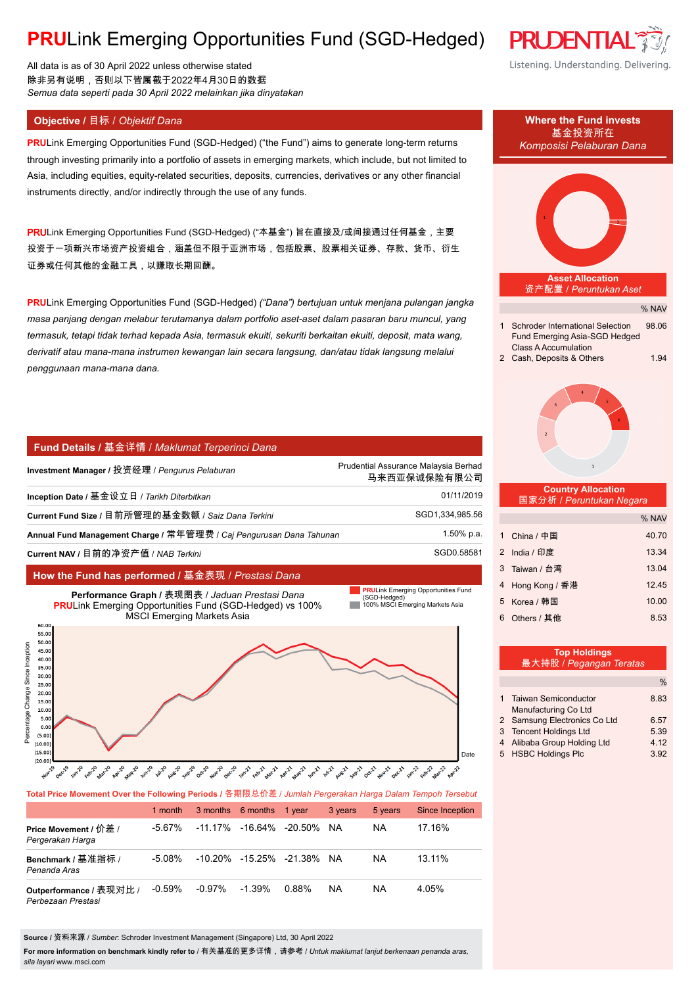# **PRU**Link Emerging Opportunities Fund (SGD-Hedged)

All data is as of 30 April 2022 unless otherwise stated 除非另有说明,否则以下皆属截于2022年4月30日的数据 *Semua data seperti pada 30 April 2022 melainkan jika dinyatakan*

### **Objective / 目标 / Objektif Dana Where the Fund invests**

**PRU**Link Emerging Opportunities Fund (SGD-Hedged) ("the Fund") aims to generate long-term returns through investing primarily into a portfolio of assets in emerging markets, which include, but not limited to Asia, including equities, equity-related securities, deposits, currencies, derivatives or any other financial instruments directly, and/or indirectly through the use of any funds.

PRULink Emerging Opportunities Fund (SGD-Hedged) ("本基金") 旨在直接及/或间接通过任何基金, 主要 投资于一项新兴市场资产投资组合,涵盖但不限于亚洲市场,包括股票、股票相关证券、存款、货币、衍生 证券或任何其他的金融工具,以赚取长期回酬。

**PRU**Link Emerging Opportunities Fund (SGD-Hedged) *("Dana") bertujuan untuk menjana pulangan jangka masa panjang dengan melabur terutamanya dalam portfolio aset-aset dalam pasaran baru muncul, yang termasuk, tetapi tidak terhad kepada Asia, termasuk ekuiti, sekuriti berkaitan ekuiti, deposit, mata wang, derivatif atau mana-mana instrumen kewangan lain secara langsung, dan/atau tidak langsung melalui penggunaan mana-mana dana.*

#### **Fund Details /** 基金详情 / *Maklumat Terperinci Dana*

| Investment Manager / 投资经理 / Pengurus Pelaburan                       | Prudential Assurance Malaysia Berhad<br>马来西亚保诚保险有限公司 |
|----------------------------------------------------------------------|------------------------------------------------------|
| Inception Date / 基金设立日 / Tarikh Diterbitkan                          | 01/11/2019                                           |
| Current Fund Size / 目前所管理的基金数额 / Saiz Dana Terkini                   | SGD1,334,985.56                                      |
| Annual Fund Management Charge / 常年管理费 / Caj Pengurusan Dana Tahunan_ | 1.50% p.a.                                           |
| Current NAV / 目前的净资产值 / NAB Terkini                                  | SGD0.58581                                           |

#### **How the Fund has performed /** 基金表现 / *Prestasi Dana*

**Performance Graph /** 表现图表 / *Jaduan Prestasi Dana* **PRU**Link Emerging Opportunities Fund (SGD-Hedged) vs 100% MSCI Emerging Markets Asia





#### **Total Price Movement Over the Following Periods /** 各期限总价差 / *Jumlah Pergerakan Harga Dalam Tempoh Tersebut*

|                                               | 1 month   |        | 3 months 6 months 1 year         |       | 3 years   | 5 years | Since Inception |
|-----------------------------------------------|-----------|--------|----------------------------------|-------|-----------|---------|-----------------|
| Price Movement / 价差 /<br>Pergerakan Harga     | -5.67%    |        | $-11.17\%$ $-16.64\%$ $-20.50\%$ |       | NA.       | ΝA      | 17.16%          |
| Benchmark / 基准指标 /<br>Penanda Aras            | $-5.08\%$ |        | -10.20% -15.25% -21.38% NA       |       |           | ΝA      | 13.11%          |
| Outperformance / 表现对比 /<br>Perbezaan Prestasi | $-0.59%$  | -0.97% | $-1.39\%$                        | 0.88% | <b>NA</b> | NA      | 4.05%           |

**Source /** 资料来源 / *Sumber*: Schroder Investment Management (Singapore) Ltd, 30 April 2022

**For more information on benchmark kindly refer to** / 有关基准的更多详情,请参考 / *Untuk maklumat lanjut berkenaan penanda aras, sila layari* www.msci.com

# % NAV **Asset Allocation** 资产配置 / *Peruntukan Aset* 1 Schroder International Selection 98.06 Fund Emerging Asia-SGD Hedged Class A Accumulation 2 Cash, Deposits & Others 1.94  **Country Allocation** 国家分析 / *Peruntukan Negara* % NAV 1 China / 中国 40.70 2 India / 印度 13.34 3 Taiwan / 台湾 13.04 4 Hong Kong / 香港 12.45 5 Korea / 韩国 10.00 6 Others / 其他 8.53 **Top Holdings** 最大持股 / *Pegangan Teratas* 基金投资所在 *Komposisi Pelaburan Dana*

|                              | %    |
|------------------------------|------|
| 1 Taiwan Semiconductor       | 8.83 |
| Manufacturing Co Ltd         |      |
| 2 Samsung Electronics Co Ltd | 6.57 |
| 3 Tencent Holdings Ltd       | 5.39 |
| 4 Alibaba Group Holding Ltd  | 4.12 |
| 5 HSBC Holdings Plc          | 3.92 |



Listening. Understanding. Delivering.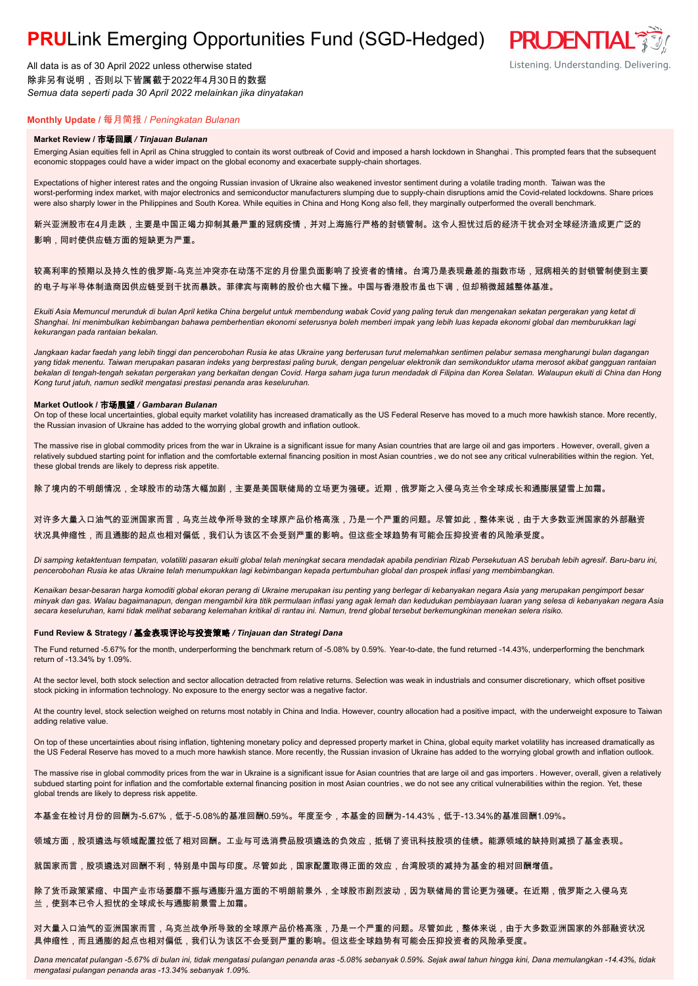## **PRU**Link Emerging Opportunities Fund (SGD-Hedged)

All data is as of 30 April 2022 unless otherwise stated 除非另有说明,否则以下皆属截于2022年4月30日的数据 *Semua data seperti pada 30 April 2022 melainkan jika dinyatakan*

### **Monthly Update /** 每月简报 / *Peningkatan Bulanan*

#### **Market Review /** 市场回顾 */ Tinjauan Bulanan*

Emerging Asian equities fell in April as China struggled to contain its worst outbreak of Covid and imposed a harsh lockdown in Shanghai . This prompted fears that the subsequent economic stoppages could have a wider impact on the global economy and exacerbate supply-chain shortages.

Expectations of higher interest rates and the ongoing Russian invasion of Ukraine also weakened investor sentiment during a volatile trading month. Taiwan was the worst-performing index market, with major electronics and semiconductor manufacturers slumping due to supply-chain disruptions amid the Covid-related lockdowns. Share prices were also sharply lower in the Philippines and South Korea. While equities in China and Hong Kong also fell, they marginally outperformed the overall benchmark.

新兴亚洲股市在4月走跌,主要是中国正竭力抑制其最严重的冠病疫情,并对上海施行严格的封锁管制。这令人担忧过后的经济干扰会对全球经济造成更广泛的 影响,同时使供应链方面的短缺更为严重。

#### 较高利率的预期以及持久性的俄罗斯-乌克兰冲突亦在动荡不定的月份里负面影响了投资者的情绪。台湾乃是表现最差的指数市场,冠病相关的封锁管制使到主要 的电子与半导体制造商因供应链受到干扰而暴跌。菲律宾与南韩的股价也大幅下挫。中国与香港股市虽也下调,但却稍微超越整体基准。

*Ekuiti Asia Memuncul merunduk di bulan April ketika China bergelut untuk membendung wabak Covid yang paling teruk dan mengenakan sekatan pergerakan yang ketat di Shanghai. Ini menimbulkan kebimbangan bahawa pemberhentian ekonomi seterusnya boleh memberi impak yang lebih luas kepada ekonomi global dan memburukkan lagi kekurangan pada rantaian bekalan.*

*Jangkaan kadar faedah yang lebih tinggi dan pencerobohan Rusia ke atas Ukraine yang berterusan turut melemahkan sentimen pelabur semasa mengharungi bulan dagangan yang tidak menentu. Taiwan merupakan pasaran indeks yang berprestasi paling buruk, dengan pengeluar elektronik dan semikonduktor utama merosot akibat gangguan rantaian bekalan di tengah-tengah sekatan pergerakan yang berkaitan dengan Covid. Harga saham juga turun mendadak di Filipina dan Korea Selatan. Walaupun ekuiti di China dan Hong Kong turut jatuh, namun sedikit mengatasi prestasi penanda aras keseluruhan.*

#### **Market Outlook /** 市场展望 */ Gambaran Bulanan*

On top of these local uncertainties, global equity market volatility has increased dramatically as the US Federal Reserve has moved to a much more hawkish stance. More recently, the Russian invasion of Ukraine has added to the worrying global growth and inflation outlook.

The massive rise in global commodity prices from the war in Ukraine is a significant issue for many Asian countries that are large oil and gas importers . However, overall, given a relatively subdued starting point for inflation and the comfortable external financing position in most Asian countries, we do not see any critical vulnerabilities within the region. Yet, these global trends are likely to depress risk appetite.

除了境内的不明朗情况,全球股市的动荡大幅加剧,主要是美国联储局的立场更为强硬。近期,俄罗斯之入侵乌克兰令全球成长和通膨展望雪上加霜。

#### 对许多大量入口油气的亚洲国家而言,乌克兰战争所导致的全球原产品价格高涨,乃是一个严重的问题。尽管如此,整体来说,由于大多数亚洲国家的外部融资 状况具伸缩性,而且通膨的起点也相对偏低,我们认为该区不会受到严重的影响。但这些全球趋势有可能会压抑投资者的风险承受度。

*Di samping ketaktentuan tempatan, volatiliti pasaran ekuiti global telah meningkat secara mendadak apabila pendirian Rizab Persekutuan AS berubah lebih agresif. Baru-baru ini, pencerobohan Rusia ke atas Ukraine telah menumpukkan lagi kebimbangan kepada pertumbuhan global dan prospek inflasi yang membimbangkan.*

*Kenaikan besar-besaran harga komoditi global ekoran perang di Ukraine merupakan isu penting yang berlegar di kebanyakan negara Asia yang merupakan pengimport besar minyak dan gas. Walau bagaimanapun, dengan mengambil kira titik permulaan inflasi yang agak lemah dan kedudukan pembiayaan luaran yang selesa di kebanyakan negara Asia secara keseluruhan, kami tidak melihat sebarang kelemahan kritikal di rantau ini. Namun, trend global tersebut berkemungkinan menekan selera risiko.*

#### **Fund Review & Strategy /** 基金表现评论与投资策略 */ Tinjauan dan Strategi Dana*

The Fund returned -5.67% for the month, underperforming the benchmark return of -5.08% by 0.59%. Year-to-date, the fund returned -14.43%, underperforming the benchmark return of -13.34% by 1.09%.

At the sector level, both stock selection and sector allocation detracted from relative returns. Selection was weak in industrials and consumer discretionary, which offset positive stock picking in information technology. No exposure to the energy sector was a negative factor.

At the country level, stock selection weighed on returns most notably in China and India. However, country allocation had a positive impact, with the underweight exposure to Taiwan adding relative value.

On top of these uncertainties about rising inflation, tightening monetary policy and depressed property market in China, global equity market volatility has increased dramatically as the US Federal Reserve has moved to a much more hawkish stance. More recently, the Russian invasion of Ukraine has added to the worrying global growth and inflation outlook.

The massive rise in global commodity prices from the war in Ukraine is a significant issue for Asian countries that are large oil and gas importers . However, overall, given a relatively subdued starting point for inflation and the comfortable external financing position in most Asian countries, we do not see any critical vulnerabilities within the region. Yet, these global trends are likely to depress risk appetite.

本基金在检讨月份的回酬为-5.67%,低于-5.08%的基准回酬0.59%。年度至今,本基金的回酬为-14.43%,低于-13.34%的基准回酬1.09%。

#### 领域方面,股项遴选与领域配置拉低了相对回酬。工业与可选消费品股项遴选的负效应,抵销了资讯科技股项的佳绩。能源领域的缺持则减损了基金表现。

就国家而言,股项遴选对回酬不利,特别是中国与印度。尽管如此,国家配置取得正面的效应,台湾股项的减持为基金的相对回酬增值。

除了货币政策紧缩、中国产业市场萎靡不振与通膨升温方面的不明朗前景外,全球股市剧烈波动,因为联储局的言论更为强硬。在近期,俄罗斯之入侵乌克 兰,使到本已令人担忧的全球成长与通膨前景雪上加霜。

对大量入口油气的亚洲国家而言,乌克兰战争所导致的全球原产品价格高涨,乃是一个严重的问题。尽管如此,整体来说,由于大多数亚洲国家的外部融资状况 具伸缩性,而且通膨的起点也相对偏低,我们认为该区不会受到严重的影响。但这些全球趋势有可能会压抑投资者的风险承受度。

*Dana mencatat pulangan -5.67% di bulan ini, tidak mengatasi pulangan penanda aras -5.08% sebanyak 0.59%. Sejak awal tahun hingga kini, Dana memulangkan -14.43%, tidak mengatasi pulangan penanda aras -13.34% sebanyak 1.09%.*